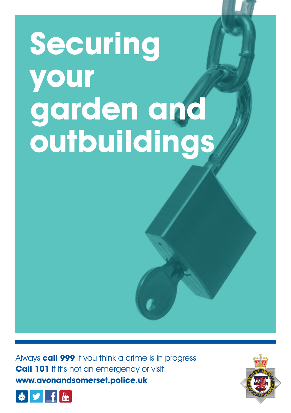## **Securing your garden and outbuildings**

Always **call 999** if you think a crime is in progress **Call 101** if it's not an emergency or visit: **www.avonandsomerset.police.uk**